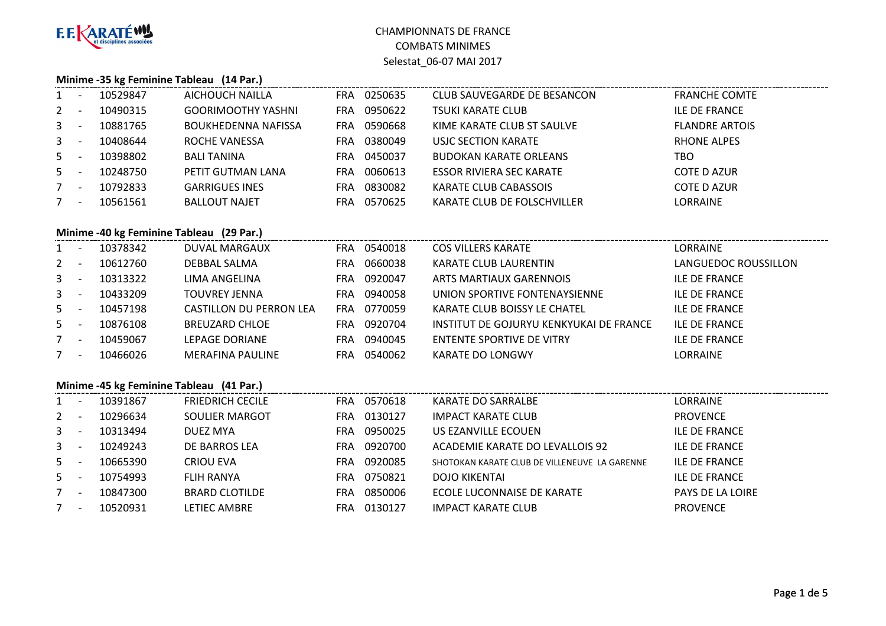

#### **Minime -35 kg Feminine Tableau (14 Par.)**

| $1 -$                                   | 10529847 | AICHOUCH NAILLA            | <b>FRA</b> | 0250635 | CLUB SAUVEGARDE DE BESANCON   | <b>FRANCHE COMTE</b>  |
|-----------------------------------------|----------|----------------------------|------------|---------|-------------------------------|-----------------------|
| $2 -$                                   | 10490315 | <b>GOORIMOOTHY YASHNI</b>  | FRA        | 0950622 | TSUKI KARATE CLUB             | <b>ILE DE FRANCE</b>  |
| $3 -$                                   | 10881765 | <b>BOUKHEDENNA NAFISSA</b> | FRA        | 0590668 | KIME KARATE CLUB ST SAULVE    | <b>FLANDRE ARTOIS</b> |
| $3 - 1$                                 | 10408644 | ROCHE VANESSA              | FRA        | 0380049 | USJC SECTION KARATE           | RHONE ALPES           |
| $5 -$                                   | 10398802 | <b>BALI TANINA</b>         | FRA        | 0450037 | <b>BUDOKAN KARATE ORLEANS</b> | тво                   |
| $5 -$                                   | 10248750 | PETIT GUTMAN LANA          | FRA        | 0060613 | ESSOR RIVIERA SEC KARATE      | COTE D AZUR           |
| $7^{\circ}$<br>$\overline{\phantom{0}}$ | 10792833 | <b>GARRIGUES INES</b>      | FRA        | 0830082 | <b>KARATE CLUB CABASSOIS</b>  | COTE D AZUR           |
| $\overline{\phantom{a}}$                | 10561561 | <b>BALLOUT NAJET</b>       | FRA        | 0570625 | KARATE CLUB DE FOLSCHVILLER   | <b>LORRAINE</b>       |

### **Minime -40 kg Feminine Tableau (29 Par.)**

| $1 -$   |                          | 10378342 | DUVAL MARGAUX           | <b>FRA</b> | 0540018 | <b>COS VILLERS KARATE</b>               | LORRAINE             |
|---------|--------------------------|----------|-------------------------|------------|---------|-----------------------------------------|----------------------|
| $2 -$   |                          | 10612760 | DEBBAL SALMA            | FRA        | 0660038 | KARATE CLUB LAURENTIN                   | LANGUEDOC ROUSSILLON |
| $3 - 1$ |                          | 10313322 | LIMA ANGELINA           | FRA        | 0920047 | ARTS MARTIAUX GARENNOIS                 | <b>ILE DE FRANCE</b> |
| $3 - 5$ |                          | 10433209 | TOUVREY JENNA           | FRA        | 0940058 | UNION SPORTIVE FONTENAYSIENNE           | <b>ILE DE FRANCE</b> |
| $5 -$   |                          | 10457198 | CASTILLON DU PERRON LEA | <b>FRA</b> | 0770059 | KARATE CLUB BOISSY LE CHATEL            | <b>ILE DE FRANCE</b> |
| $5 -$   |                          | 10876108 | <b>BREUZARD CHLOE</b>   | FRA        | 0920704 | INSTITUT DE GOJURYU KENKYUKAI DE FRANCE | <b>ILE DE FRANCE</b> |
|         | $\overline{\phantom{a}}$ | 10459067 | LEPAGE DORIANE          | FRA        | 0940045 | ENTENTE SPORTIVE DE VITRY               | <b>ILE DE FRANCE</b> |
|         | $\overline{\phantom{0}}$ | 10466026 | <b>MERAFINA PAULINE</b> | FRA        | 0540062 | <b>KARATE DO LONGWY</b>                 | LORRAINE             |

#### **Minime -45 kg Feminine Tableau (41 Par.)**

|             | <b>INIINIME -45 Kg Feminine Tableau</b> (41 Par.) |          |                         |            |         |                                               |                      |  |  |  |  |
|-------------|---------------------------------------------------|----------|-------------------------|------------|---------|-----------------------------------------------|----------------------|--|--|--|--|
|             |                                                   | 10391867 | <b>FRIEDRICH CECILE</b> | FRA        | 0570618 | KARATE DO SARRALBE                            | LORRAINE             |  |  |  |  |
| $2 -$       |                                                   | 10296634 | SOULIER MARGOT          | <b>FRA</b> | 0130127 | <b>IMPACT KARATE CLUB</b>                     | <b>PROVENCE</b>      |  |  |  |  |
| $3 -$       |                                                   | 10313494 | DUEZ MYA                | FRA        | 0950025 | US EZANVILLE ECOUEN                           | <b>ILE DE FRANCE</b> |  |  |  |  |
| $3 -$       | ٠.                                                | 10249243 | DE BARROS LEA           | <b>FRA</b> | 0920700 | ACADEMIE KARATE DO LEVALLOIS 92               | <b>ILE DE FRANCE</b> |  |  |  |  |
| $5 -$       |                                                   | 10665390 | CRIOU EVA               | FRA.       | 0920085 | SHOTOKAN KARATE CLUB DE VILLENEUVE LA GARENNE | <b>ILE DE FRANCE</b> |  |  |  |  |
| $5 -$       |                                                   | 10754993 | FLIH RANYA              | <b>FRA</b> | 0750821 | <b>DOJO KIKENTAI</b>                          | <b>ILE DE FRANCE</b> |  |  |  |  |
| $7^{\circ}$ | $\overline{\phantom{a}}$                          | 10847300 | <b>BRARD CLOTILDE</b>   | <b>FRA</b> | 0850006 | ECOLE LUCONNAISE DE KARATE                    | PAYS DE LA LOIRE     |  |  |  |  |
|             | $\overline{\phantom{a}}$                          | 10520931 | LETIEC AMBRE            | FRA        | 0130127 | <b>IMPACT KARATE CLUB</b>                     | <b>PROVENCE</b>      |  |  |  |  |
|             |                                                   |          |                         |            |         |                                               |                      |  |  |  |  |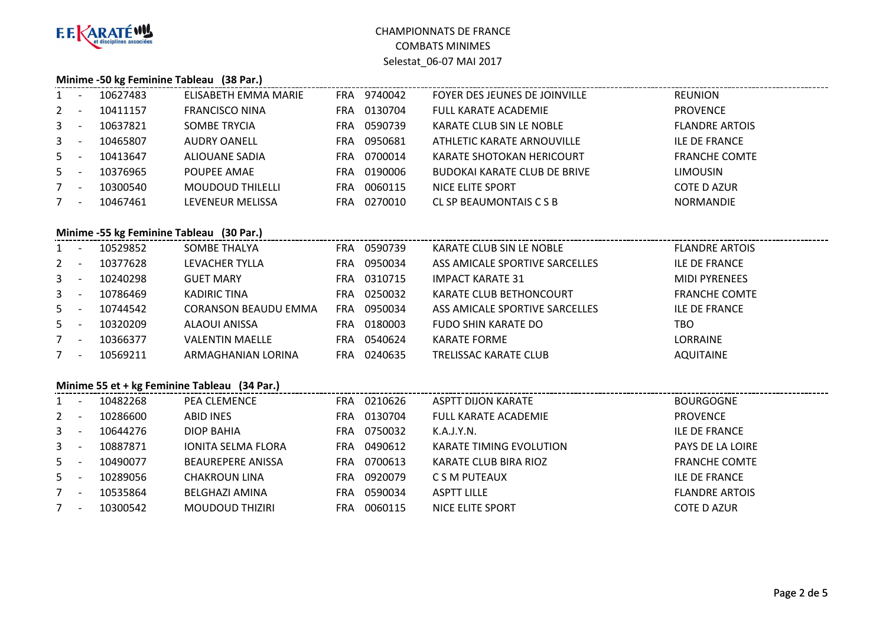

#### **Minime -50 kg Feminine Tableau (38 Par.)**

| $1 -$       |                          | 10627483 | ELISABETH EMMA MARIE    | FRA.       | 9740042 | FOYER DES JEUNES DE JOINVILLE       | REUNION               |
|-------------|--------------------------|----------|-------------------------|------------|---------|-------------------------------------|-----------------------|
| $2 -$       |                          | 10411157 | <b>FRANCISCO NINA</b>   | <b>FRA</b> | 0130704 | <b>FULL KARATE ACADEMIE</b>         | <b>PROVENCE</b>       |
| $3 -$       |                          | 10637821 | <b>SOMBE TRYCIA</b>     | FRA        | 0590739 | KARATE CLUB SIN LE NOBLE            | <b>FLANDRE ARTOIS</b> |
| $3 - 1$     |                          | 10465807 | <b>AUDRY OANELL</b>     | FRA        | 0950681 | ATHLETIC KARATE ARNOUVILLE          | ILE DE FRANCE         |
| $5 -$       |                          | 10413647 | ALIOUANE SADIA          | FRA        | 0700014 | KARATE SHOTOKAN HERICOURT           | <b>FRANCHE COMTE</b>  |
| $5 -$       |                          | 10376965 | POUPEE AMAE             | FRA        | 0190006 | <b>BUDOKAI KARATE CLUB DE BRIVE</b> | <b>LIMOUSIN</b>       |
| $7^{\circ}$ | $\overline{\phantom{a}}$ | 10300540 | <b>MOUDOUD THILELLI</b> | FRA        | 0060115 | NICE ELITE SPORT                    | <b>COTE D AZUR</b>    |
|             | $\overline{\phantom{a}}$ | 10467461 | LEVENEUR MELISSA        | FRA        | 0270010 | CL SP BEAUMONTAIS C S B             | <b>NORMANDIE</b>      |
|             |                          |          |                         |            |         |                                     |                       |

### **Minime -55 kg Feminine Tableau (30 Par.)**

| $1 -$   |                          | 10529852 | SOMBE THALYA                | FRA        | 0590739 | KARATE CLUB SIN LE NOBLE       | <b>FLANDRE ARTOIS</b> |
|---------|--------------------------|----------|-----------------------------|------------|---------|--------------------------------|-----------------------|
| $2 -$   |                          | 10377628 | LEVACHER TYLLA              | FRA        | 0950034 | ASS AMICALE SPORTIVE SARCELLES | <b>ILE DE FRANCE</b>  |
| $3 - 1$ |                          | 10240298 | <b>GUET MARY</b>            | <b>FRA</b> | 0310715 | <b>IMPACT KARATE 31</b>        | <b>MIDI PYRENEES</b>  |
| $3 -$   |                          | 10786469 | KADIRIC TINA                | FRA        | 0250032 | KARATE CLUB BETHONCOURT        | <b>FRANCHE COMTE</b>  |
| $5 -$   |                          | 10744542 | <b>CORANSON BEAUDU EMMA</b> | <b>FRA</b> | 0950034 | ASS AMICALE SPORTIVE SARCELLES | <b>ILE DE FRANCE</b>  |
| $5 -$   |                          | 10320209 | <b>ALAOUI ANISSA</b>        | FRA        | 0180003 | <b>FUDO SHIN KARATE DO</b>     | тво                   |
|         | $\overline{\phantom{a}}$ | 10366377 | <b>VALENTIN MAELLE</b>      | FRA        | 0540624 | <b>KARATE FORME</b>            | <b>LORRAINE</b>       |
|         | $\overline{\phantom{0}}$ | 10569211 | ARMAGHANIAN LORINA          | FRA        | 0240635 | <b>TRELISSAC KARATE CLUB</b>   | <b>AQUITAINE</b>      |

#### **Minime 55 et + kg Feminine Tableau (34 Par.)**

|                | Minime 55 et + kg Feminine Tableau (34 Par.) |          |                           |            |         |                                |                       |  |  |  |
|----------------|----------------------------------------------|----------|---------------------------|------------|---------|--------------------------------|-----------------------|--|--|--|
|                | $\overline{\phantom{a}}$                     | 10482268 | <b>PEA CLEMENCE</b>       | <b>FRA</b> | 0210626 | ASPTT DIJON KARATE             | <b>BOURGOGNE</b>      |  |  |  |
| $2^{\circ}$    | $\overline{\phantom{a}}$                     | 10286600 | ABID INES                 | FRA.       | 0130704 | <b>FULL KARATE ACADEMIE</b>    | <b>PROVENCE</b>       |  |  |  |
| 3 <sup>1</sup> | $\overline{\phantom{a}}$                     | 10644276 | DIOP BAHIA                | FRA.       | 0750032 | K.A.J.Y.N.                     | <b>ILE DE FRANCE</b>  |  |  |  |
| 3 <sup>7</sup> | $\overline{\phantom{a}}$                     | 10887871 | <b>IONITA SELMA FLORA</b> | FRA.       | 0490612 | <b>KARATE TIMING EVOLUTION</b> | PAYS DE LA LOIRE      |  |  |  |
| $5 -$          |                                              | 10490077 | <b>BEAUREPERE ANISSA</b>  | <b>FRA</b> | 0700613 | KARATE CLUB BIRA RIOZ          | <b>FRANCHE COMTE</b>  |  |  |  |
| $5 -$          |                                              | 10289056 | CHAKROUN LINA             | FRA.       | 0920079 | C S M PUTEAUX                  | <b>ILE DE FRANCE</b>  |  |  |  |
|                | $\overline{\phantom{a}}$                     | 10535864 | BELGHAZI AMINA            | FRA.       | 0590034 | <b>ASPTT LILLE</b>             | <b>FLANDRE ARTOIS</b> |  |  |  |
|                | $\overline{\phantom{a}}$                     | 10300542 | MOUDOUD THIZIRI           | <b>FRA</b> | 0060115 | NICE ELITE SPORT               | COTE D AZUR           |  |  |  |
|                |                                              |          |                           |            |         |                                |                       |  |  |  |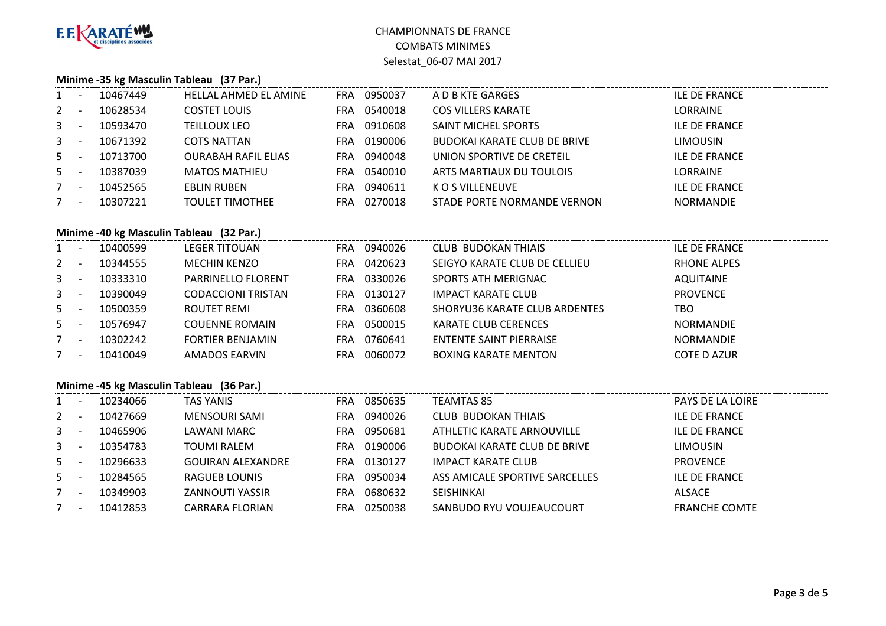

### **Minime -35 kg Masculin Tableau (37 Par.)**

| $1 -$       |                          | 10467449 | <b>HELLAL AHMED EL AMINE</b> | <b>FRA</b> | 0950037 | A D B KTE GARGES                    | <b>ILE DE FRANCE</b> |
|-------------|--------------------------|----------|------------------------------|------------|---------|-------------------------------------|----------------------|
| $2 -$       |                          | 10628534 | <b>COSTET LOUIS</b>          | FRA.       | 0540018 | <b>COS VILLERS KARATE</b>           | <b>LORRAINE</b>      |
| $3 - 5$     |                          | 10593470 | <b>TEILLOUX LEO</b>          | FRA        | 0910608 | SAINT MICHEL SPORTS                 | <b>ILE DE FRANCE</b> |
| $3 - 1$     |                          | 10671392 | <b>COTS NATTAN</b>           | FRA.       | 0190006 | <b>BUDOKAI KARATE CLUB DE BRIVE</b> | <b>LIMOUSIN</b>      |
| $5 -$       |                          | 10713700 | <b>OURABAH RAFIL ELIAS</b>   | FRA.       | 0940048 | UNION SPORTIVE DE CRETEIL           | <b>ILE DE FRANCE</b> |
| $5 -$       |                          | 10387039 | <b>MATOS MATHIEU</b>         | FRA.       | 0540010 | ARTS MARTIAUX DU TOULOIS            | <b>LORRAINE</b>      |
|             | $\overline{\phantom{0}}$ | 10452565 | EBLIN RUBEN                  | FRA        | 0940611 | K O S VILLENEUVE                    | <b>ILE DE FRANCE</b> |
| $7^{\circ}$ | $\overline{a}$           | 10307221 | <b>TOULET TIMOTHEE</b>       | FRA        | 0270018 | STADE PORTE NORMANDE VERNON         | <b>NORMANDIE</b>     |
|             |                          |          |                              |            |         |                                     |                      |

### **Minime -40 kg Masculin Tableau (32 Par.)**

| $1 -$       |                          | 10400599 | <b>LEGER TITOUAN</b>      | <b>FRA</b> | 0940026 | <b>CLUB BUDOKAN THIAIS</b>           | <b>ILE DE FRANCE</b> |
|-------------|--------------------------|----------|---------------------------|------------|---------|--------------------------------------|----------------------|
| $2 -$       |                          | 10344555 | <b>MECHIN KENZO</b>       | FRA        | 0420623 | SEIGYO KARATE CLUB DE CELLIEU        | <b>RHONE ALPES</b>   |
| $3^{\circ}$ | $\overline{\phantom{a}}$ | 10333310 | PARRINELLO FLORENT        | <b>FRA</b> | 0330026 | SPORTS ATH MERIGNAC                  | <b>AQUITAINE</b>     |
| $3 - 5$     |                          | 10390049 | <b>CODACCIONI TRISTAN</b> | FRA        | 0130127 | <b>IMPACT KARATE CLUB</b>            | <b>PROVENCE</b>      |
| $5 -$       |                          | 10500359 | ROUTET REMI               | FRA        | 0360608 | <b>SHORYU36 KARATE CLUB ARDENTES</b> | TBO                  |
| $5 -$       |                          | 10576947 | <b>COUENNE ROMAIN</b>     | FRA        | 0500015 | KARATE CLUB CERENCES                 | <b>NORMANDIE</b>     |
| $7 -$       |                          | 10302242 | <b>FORTIER BENJAMIN</b>   | FRA        | 0760641 | <b>ENTENTE SAINT PIERRAISE</b>       | <b>NORMANDIE</b>     |
|             | $\overline{\phantom{a}}$ | 10410049 | AMADOS EARVIN             | FRA        | 0060072 | <b>BOXING KARATE MENTON</b>          | <b>COTE D AZUR</b>   |

### **Minime -45 kg Masculin Tableau (36 Par.)**

| $1 -$ | 10234066 | <b>TAS YANIS</b>         | <b>FRA</b> | 0850635 | <b>TEAMTAS 85</b>                   | PAYS DE LA LOIRE     |
|-------|----------|--------------------------|------------|---------|-------------------------------------|----------------------|
| $2 -$ | 10427669 | <b>MENSOURI SAMI</b>     | FRA        | 0940026 | <b>CLUB BUDOKAN THIAIS</b>          | <b>ILE DE FRANCE</b> |
| $3 -$ | 10465906 | LAWANI MARC              | <b>FRA</b> | 0950681 | ATHLETIC KARATE ARNOUVILLE          | <b>ILE DE FRANCE</b> |
| $3 -$ | 10354783 | TOUMI RALEM              | <b>FRA</b> | 0190006 | <b>BUDOKAI KARATE CLUB DE BRIVE</b> | <b>LIMOUSIN</b>      |
| $5 -$ | 10296633 | <b>GOUIRAN ALEXANDRE</b> | FRA.       | 0130127 | <b>IMPACT KARATE CLUB</b>           | <b>PROVENCE</b>      |
| $5 -$ | 10284565 | RAGUEB LOUNIS            | FRA        | 0950034 | ASS AMICALE SPORTIVE SARCELLES      | <b>ILE DE FRANCE</b> |
| $7 -$ | 10349903 | <b>ZANNOUTI YASSIR</b>   | FRA        | 0680632 | <b>SEISHINKAI</b>                   | ALSACE               |
| $7 -$ | 10412853 | <b>CARRARA FLORIAN</b>   | FRA        | 0250038 | SANBUDO RYU VOUJEAUCOURT            | <b>FRANCHE COMTE</b> |
|       |          |                          |            |         |                                     |                      |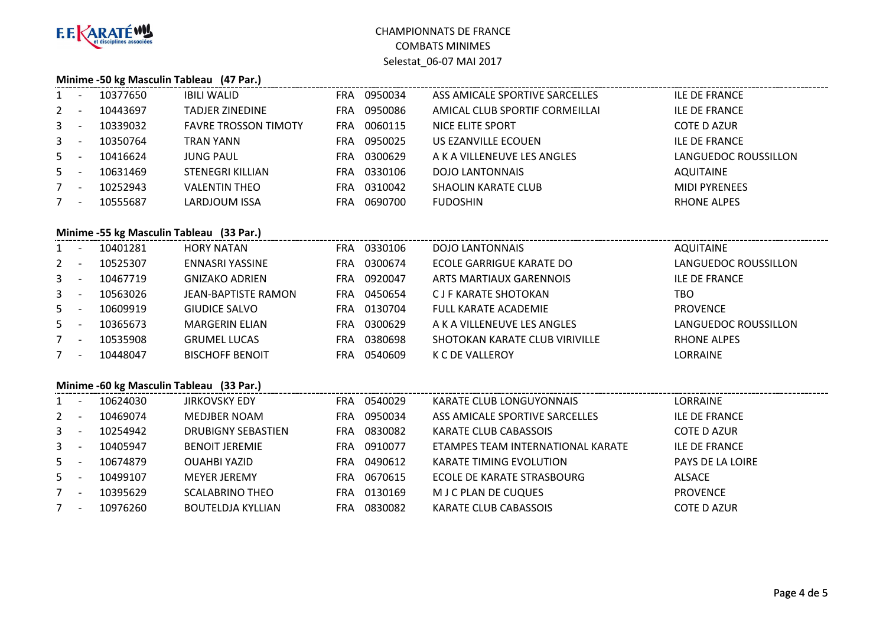

### **Minime -50 kg Masculin Tableau (47 Par.)**

| $1 -$          |                                          | 10377650 | <b>IBILI WALID</b>          | FRA        | 0950034 | ASS AMICALE SPORTIVE SARCELLES | <b>ILE DE FRANCE</b> |  |  |  |
|----------------|------------------------------------------|----------|-----------------------------|------------|---------|--------------------------------|----------------------|--|--|--|
| $\mathbf{2}$   | $\overline{a}$                           | 10443697 | TADJER ZINEDINE             | <b>FRA</b> | 0950086 | AMICAL CLUB SPORTIF CORMEILLAI | <b>ILE DE FRANCE</b> |  |  |  |
| 3 <sup>1</sup> | $\overline{\phantom{a}}$                 | 10339032 | <b>FAVRE TROSSON TIMOTY</b> | <b>FRA</b> | 0060115 | NICE ELITE SPORT               | COTE D AZUR          |  |  |  |
| $3 - 1$        |                                          | 10350764 | <b>TRAN YANN</b>            | <b>FRA</b> | 0950025 | US EZANVILLE ECOUEN            | <b>ILE DE FRANCE</b> |  |  |  |
| $5 -$          |                                          | 10416624 | <b>JUNG PAUL</b>            | <b>FRA</b> | 0300629 | A K A VILLENEUVE LES ANGLES    | LANGUEDOC ROUSSILLON |  |  |  |
| $5 -$          |                                          | 10631469 | <b>STENEGRI KILLIAN</b>     | <b>FRA</b> | 0330106 | <b>DOJO LANTONNAIS</b>         | <b>AQUITAINE</b>     |  |  |  |
| $7 -$          |                                          | 10252943 | <b>VALENTIN THEO</b>        | <b>FRA</b> | 0310042 | <b>SHAOLIN KARATE CLUB</b>     | <b>MIDI PYRENEES</b> |  |  |  |
| $7^{\circ}$    | $\overline{\phantom{a}}$                 | 10555687 | LARDJOUM ISSA               | <b>FRA</b> | 0690700 | <b>FUDOSHIN</b>                | <b>RHONE ALPES</b>   |  |  |  |
|                |                                          |          |                             |            |         |                                |                      |  |  |  |
|                | Minime -55 kg Masculin Tableau (33 Par.) |          |                             |            |         |                                |                      |  |  |  |
|                |                                          |          |                             |            |         |                                |                      |  |  |  |
|                |                                          | 10401281 | <b>HORY NATAN</b>           | FRA        | 0330106 | <b>DOJO LANTONNAIS</b>         | <b>AQUITAINE</b>     |  |  |  |
| $\mathbf{2}$   | $\overline{\phantom{0}}$                 | 10525307 | ENNASRI YASSINE             | <b>FRA</b> | 0300674 | ECOLE GARRIGUE KARATE DO       | LANGUEDOC ROUSSILLON |  |  |  |
| 3              | $\overline{a}$                           | 10467719 | <b>GNIZAKO ADRIEN</b>       | <b>FRA</b> | 0920047 | ARTS MARTIAUX GARENNOIS        | <b>ILE DE FRANCE</b> |  |  |  |
| $3 - 5$        |                                          | 10563026 | <b>JEAN-BAPTISTE RAMON</b>  | <b>FRA</b> | 0450654 | C J F KARATE SHOTOKAN          | TBO                  |  |  |  |
| $5 -$          |                                          | 10609919 | GIUDICE SALVO               | <b>FRA</b> | 0130704 | <b>FULL KARATE ACADEMIE</b>    | <b>PROVENCE</b>      |  |  |  |
| $5 -$          |                                          | 10365673 | <b>MARGERIN ELIAN</b>       | <b>FRA</b> | 0300629 | A K A VILLENEUVE LES ANGLES    | LANGUEDOC ROUSSILLON |  |  |  |

|                          | -------  |                        |     | .           |                                |                    |
|--------------------------|----------|------------------------|-----|-------------|--------------------------------|--------------------|
|                          | 10535908 | <b>GRUMEL LUCAS</b>    | FRA | 0380698     | SHOTOKAN KARATE CLUB VIRIVILLE | <b>RHONE ALPES</b> |
| $\overline{\phantom{0}}$ | 10448047 | <b>BISCHOFF BENOIT</b> |     | FRA 0540609 | K C DE VALLEROY                | LORRAINE           |

# **Minime -60 kg Masculin Tableau (33 Par.)**

| $1 -$ | 10624030 | <b>JIRKOVSKY EDY</b>     | <b>FRA</b> | 0540029 | KARATE CLUB LONGUYONNAIS          | <b>LORRAINE</b>      |
|-------|----------|--------------------------|------------|---------|-----------------------------------|----------------------|
| $2 -$ | 10469074 | MEDJBER NOAM             | <b>FRA</b> | 0950034 | ASS AMICALE SPORTIVE SARCELLES    | <b>ILE DE FRANCE</b> |
| $3 -$ | 10254942 | DRUBIGNY SEBASTIEN       | <b>FRA</b> | 0830082 | KARATE CLUB CABASSOIS             | <b>COTE D AZUR</b>   |
| $3 -$ | 10405947 | <b>BENOIT JEREMIE</b>    | <b>FRA</b> | 0910077 | ETAMPES TEAM INTERNATIONAL KARATE | <b>ILE DE FRANCE</b> |
| $5 -$ | 10674879 | <b>OUAHBI YAZID</b>      | FRA        | 0490612 | <b>KARATE TIMING EVOLUTION</b>    | PAYS DE LA LOIRE     |
| $5 -$ | 10499107 | <b>MEYER JEREMY</b>      | <b>FRA</b> | 0670615 | ECOLE DE KARATE STRASBOURG        | ALSACE               |
| $7 -$ | 10395629 | <b>SCALABRINO THEO</b>   | FRA        | 0130169 | M J C PLAN DE CUQUES              | <b>PROVENCE</b>      |
| $7 -$ | 10976260 | <b>BOUTELDJA KYLLIAN</b> | FRA        | 0830082 | KARATE CLUB CABASSOIS             | <b>COTE D AZUR</b>   |
|       |          |                          |            |         |                                   |                      |